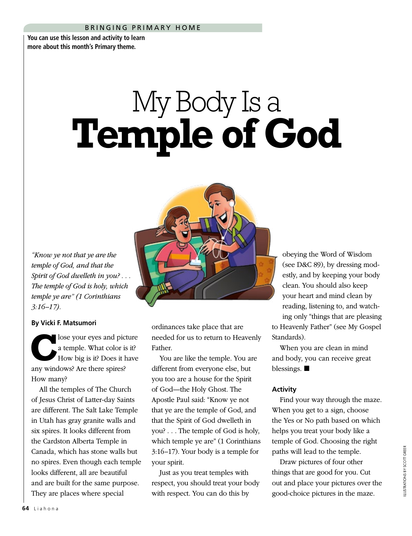## BRINGING PRIMARY HOME

**You can use this lesson and activity to learn more about this month's Primary theme.**

## My Body Is a **Temple of God**



*"Know ye not that ye are the temple of God, and that the Spirit of God dwelleth in you? . . . The temple of God is holy, which temple ye are" (1 Corinthians 3:16–17).*

## **By Vicki F. Matsumori**

lose your eyes and picture a temple. What color is it? How big is it? Does it have any windows? Are there spires? How many?

All the temples of The Church of Jesus Christ of Latter-day Saints are different. The Salt Lake Temple in Utah has gray granite walls and six spires. It looks different from the Cardston Alberta Temple in Canada, which has stone walls but no spires. Even though each temple looks different, all are beautiful and are built for the same purpose. They are places where special

ordinances take place that are needed for us to return to Heavenly Father.

You are like the temple. You are different from everyone else, but you too are a house for the Spirit of God—the Holy Ghost. The Apostle Paul said: "Know ye not that ye are the temple of God, and that the Spirit of God dwelleth in you? . . . The temple of God is holy, which temple ye are" (1 Corinthians 3:16–17). Your body is a temple for your spirit.

Just as you treat temples with respect, you should treat your body with respect. You can do this by

obeying the Word of Wisdom (see D&C 89), by dressing modestly, and by keeping your body clean. You should also keep your heart and mind clean by reading, listening to, and watching only "things that are pleasing to Heavenly Father" (see My Gospel Standards).

When you are clean in mind and body, you can receive great blessings.  $\blacksquare$ 

## **Activity**

Find your way through the maze. When you get to a sign, choose the Yes or No path based on which helps you treat your body like a temple of God. Choosing the right paths will lead to the temple.

Draw pictures of four other things that are good for you. Cut out and place your pictures over the good-choice pictures in the maze.